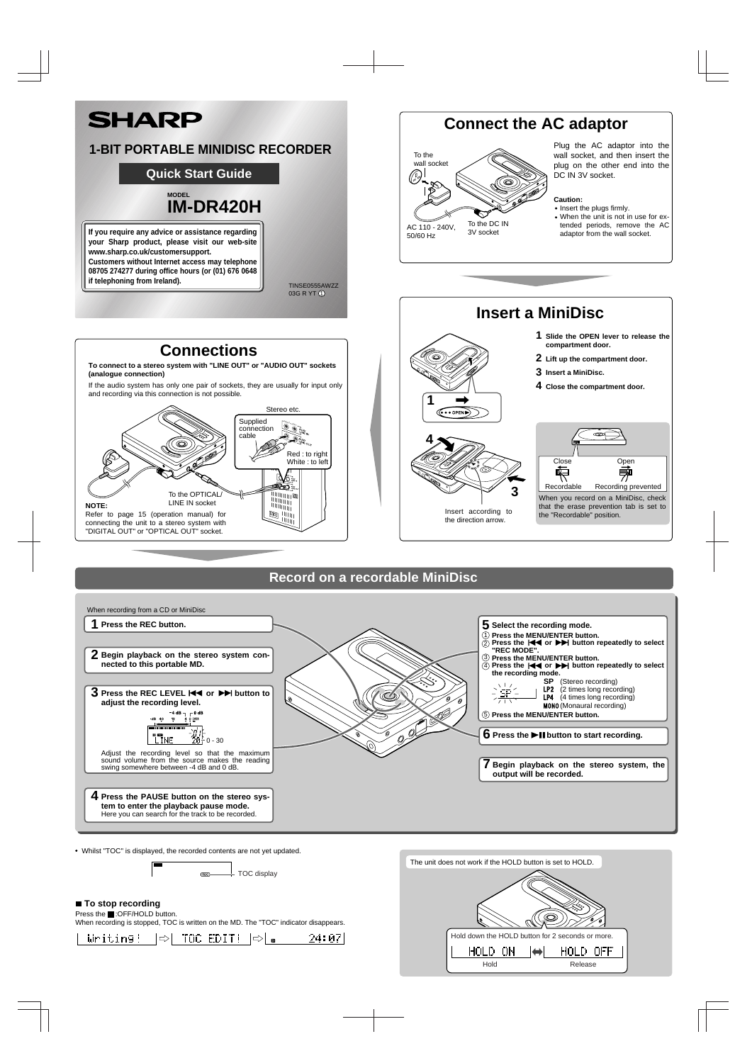Press the **:OFF/HOLD** button. When recording is stopped, TOC is written on the MD. The "TOC" indicator disappears.

Writing!  $|\Rightarrow|$  TOC EDIT!  $|\Rightarrow|_{\bullet}|$  $[24:07]$ 



Whilst "TOC" is displayed, the recorded contents are not yet updated.

 $\frac{1}{2}$  TOC display  $\sqrt{100}$ 

## ■ To stop recording



**tem to enter the playback pause mode.** Here you can search for the track to be recorded.